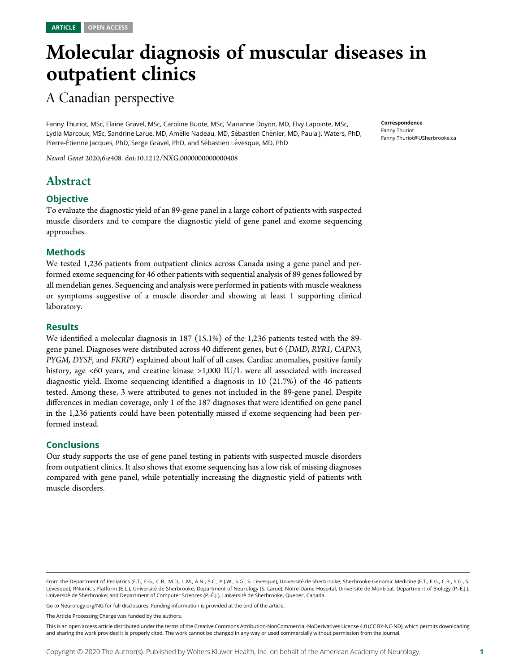# Molecular diagnosis of muscular diseases in outpatient clinics

# A Canadian perspective

Fanny Thuriot, MSc, Elaine Gravel, MSc, Caroline Buote, MSc, Marianne Doyon, MD, Elvy Lapointe, MSc, Lydia Marcoux, MSc, Sandrine Larue, MD, Amélie Nadeau, MD, Sébastien Chénier, MD, Paula J. Waters, PhD, Pierre-Étienne Jacques, PhD, Serge Gravel, PhD, and Sébastien Lévesque, MD, PhD

Neurol Genet 2020;6:e408. doi:[10.1212/NXG.0000000000000408](http://dx.doi.org/10.1212/NXG.0000000000000408)

## Abstract

#### **Objective**

To evaluate the diagnostic yield of an 89-gene panel in a large cohort of patients with suspected muscle disorders and to compare the diagnostic yield of gene panel and exome sequencing approaches.

#### Methods

We tested 1,236 patients from outpatient clinics across Canada using a gene panel and performed exome sequencing for 46 other patients with sequential analysis of 89 genes followed by all mendelian genes. Sequencing and analysis were performed in patients with muscle weakness or symptoms suggestive of a muscle disorder and showing at least 1 supporting clinical laboratory.

#### **Results**

We identified a molecular diagnosis in 187 (15.1%) of the 1,236 patients tested with the 89 gene panel. Diagnoses were distributed across 40 different genes, but 6 (DMD, RYR1, CAPN3, PYGM, DYSF, and FKRP) explained about half of all cases. Cardiac anomalies, positive family history, age <60 years, and creatine kinase >1,000 IU/L were all associated with increased diagnostic yield. Exome sequencing identified a diagnosis in 10 (21.7%) of the 46 patients tested. Among these, 3 were attributed to genes not included in the 89-gene panel. Despite differences in median coverage, only 1 of the 187 diagnoses that were identified on gene panel in the 1,236 patients could have been potentially missed if exome sequencing had been performed instead.

#### **Conclusions**

Our study supports the use of gene panel testing in patients with suspected muscle disorders from outpatient clinics. It also shows that exome sequencing has a low risk of missing diagnoses compared with gene panel, while potentially increasing the diagnostic yield of patients with muscle disorders.

Go to [Neurology.org/NG](https://ng.neurology.org/content/6/2/e408/tab-article-info) for full disclosures. Funding information is provided at the end of the article.

The Article Processing Charge was funded by the authors.

This is an open access article distributed under the terms of the [Creative Commons Attribution-NonCommercial-NoDerivatives License 4.0 \(CC BY-NC-ND\),](http://creativecommons.org/licenses/by-nc-nd/4.0/) which permits downloading and sharing the work provided it is properly cited. The work cannot be changed in any way or used commercially without permission from the journal.

Correspondence Fanny Thuriot [Fanny.Thuriot@USherbrooke.ca](mailto:Fanny.Thuriot@USherbrooke.ca)

From the Department of Pediatrics (F.T., E.G., C.B., M.D., L.M., A.N., S.C., P.J.W., S.G., S. Lévesque), Université de Sherbrooke; Sherbrooke Genomic Medicine (F.T., E.G., C.B., S.G., S. Lévesque); RNomic's Platform (E.L.), Université de Sherbrooke; Department of Neurology (S. Larue), Notre-Dame Hospital, Université de Montréal; Department of Biology (P.-É.J.), Université de Sherbrooke; and Department of Computer Sciences (P.-É.J.), Université de Sherbrooke, Quebec, Canada.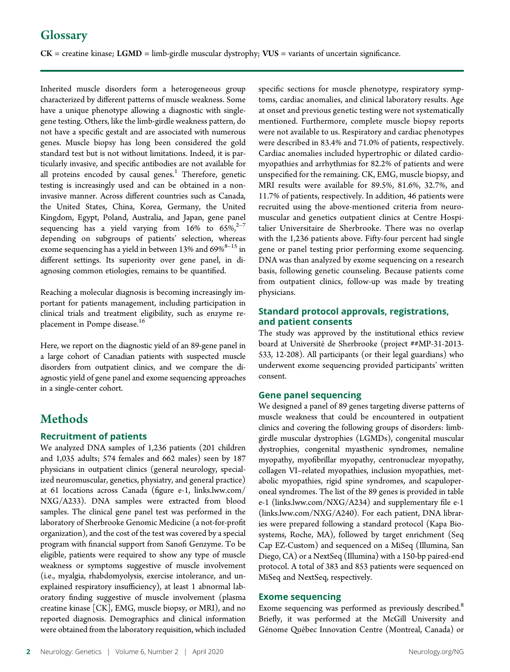# **Glossary**

 $CK$  = creatine kinase;  $LGMD$  = limb-girdle muscular dystrophy;  $VUS$  = variants of uncertain significance.

Inherited muscle disorders form a heterogeneous group characterized by different patterns of muscle weakness. Some have a unique phenotype allowing a diagnostic with singlegene testing. Others, like the limb-girdle weakness pattern, do not have a specific gestalt and are associated with numerous genes. Muscle biopsy has long been considered the gold standard test but is not without limitations. Indeed, it is particularly invasive, and specific antibodies are not available for all proteins encoded by causal genes.<sup>1</sup> Therefore, genetic testing is increasingly used and can be obtained in a noninvasive manner. Across different countries such as Canada, the United States, China, Korea, Germany, the United Kingdom, Egypt, Poland, Australia, and Japan, gene panel sequencing has a yield varying from  $16\%$  to  $65\%^{2-7}$ depending on subgroups of patients' selection, whereas exome sequencing has a yield in between 13% and  $69\%^{8-15}$  in different settings. Its superiority over gene panel, in diagnosing common etiologies, remains to be quantified.

Reaching a molecular diagnosis is becoming increasingly important for patients management, including participation in clinical trials and treatment eligibility, such as enzyme replacement in Pompe disease.<sup>16</sup>

Here, we report on the diagnostic yield of an 89-gene panel in a large cohort of Canadian patients with suspected muscle disorders from outpatient clinics, and we compare the diagnostic yield of gene panel and exome sequencing approaches in a single-center cohort.

# **Methods**

#### Recruitment of patients

We analyzed DNA samples of 1,236 patients (201 children and 1,035 adults; 574 females and 662 males) seen by 187 physicians in outpatient clinics (general neurology, specialized neuromuscular, genetics, physiatry, and general practice) at 61 locations across Canada (figure e-1, [links.lww.com/](http://links.lww.com/NXG/A233) [NXG/A233](http://links.lww.com/NXG/A233)). DNA samples were extracted from blood samples. The clinical gene panel test was performed in the laboratory of Sherbrooke Genomic Medicine (a not-for-profit organization), and the cost of the test was covered by a special program with financial support from Sanofi Genzyme. To be eligible, patients were required to show any type of muscle weakness or symptoms suggestive of muscle involvement (i.e., myalgia, rhabdomyolysis, exercise intolerance, and unexplained respiratory insufficiency), at least 1 abnormal laboratory finding suggestive of muscle involvement (plasma creatine kinase [CK], EMG, muscle biopsy, or MRI), and no reported diagnosis. Demographics and clinical information were obtained from the laboratory requisition, which included

specific sections for muscle phenotype, respiratory symptoms, cardiac anomalies, and clinical laboratory results. Age at onset and previous genetic testing were not systematically mentioned. Furthermore, complete muscle biopsy reports were not available to us. Respiratory and cardiac phenotypes were described in 83.4% and 71.0% of patients, respectively. Cardiac anomalies included hypertrophic or dilated cardiomyopathies and arrhythmias for 82.2% of patients and were unspecified for the remaining. CK, EMG, muscle biopsy, and MRI results were available for 89.5%, 81.6%, 32.7%, and 11.7% of patients, respectively. In addition, 46 patients were recruited using the above-mentioned criteria from neuromuscular and genetics outpatient clinics at Centre Hospitalier Universitaire de Sherbrooke. There was no overlap with the 1,236 patients above. Fifty-four percent had single gene or panel testing prior performing exome sequencing. DNA was than analyzed by exome sequencing on a research basis, following genetic counseling. Because patients come from outpatient clinics, follow-up was made by treating physicians.

#### Standard protocol approvals, registrations, and patient consents

The study was approved by the institutional ethics review board at Université de Sherbrooke (project ##MP-31-2013-533, 12-208). All participants (or their legal guardians) who underwent exome sequencing provided participants' written consent.

#### Gene panel sequencing

We designed a panel of 89 genes targeting diverse patterns of muscle weakness that could be encountered in outpatient clinics and covering the following groups of disorders: limbgirdle muscular dystrophies (LGMDs), congenital muscular dystrophies, congenital myasthenic syndromes, nemaline myopathy, myofibrillar myopathy, centronuclear myopathy, collagen VI–related myopathies, inclusion myopathies, metabolic myopathies, rigid spine syndromes, and scapuloperoneal syndromes. The list of the 89 genes is provided in table e-1 [\(links.lww.com/NXG/A234](http://links.lww.com/NXG/A234)) and supplementary file e-1 [\(links.lww.com/NXG/A240](http://links.lww.com/NXG/A240)). For each patient, DNA libraries were prepared following a standard protocol (Kapa Biosystems, Roche, MA), followed by target enrichment (Seq Cap EZ-Custom) and sequenced on a MiSeq (Illumina, San Diego, CA) or a NextSeq (Illumina) with a 150-bp paired-end protocol. A total of 383 and 853 patients were sequenced on MiSeq and NextSeq, respectively.

#### Exome sequencing

Exome sequencing was performed as previously described.<sup>8</sup> Briefly, it was performed at the McGill University and Génome Québec Innovation Centre (Montreal, Canada) or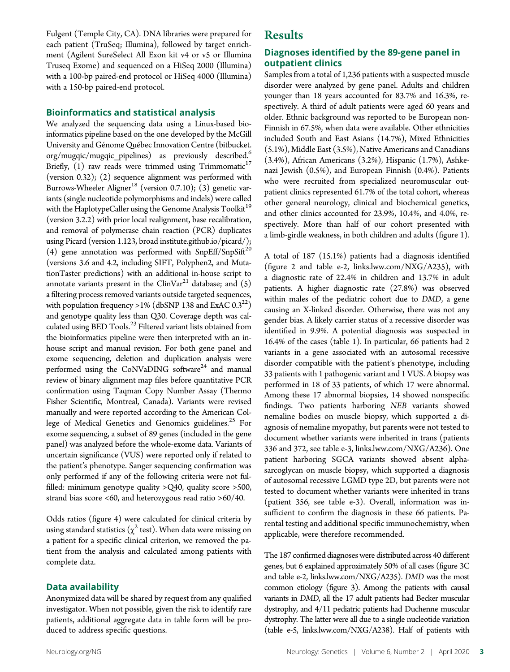Fulgent (Temple City, CA). DNA libraries were prepared for each patient (TruSeq; Illumina), followed by target enrichment (Agilent SureSelect All Exon kit v4 or v5 or Illumina Truseq Exome) and sequenced on a HiSeq 2000 (Illumina) with a 100-bp paired-end protocol or HiSeq 4000 (Illumina) with a 150-bp paired-end protocol.

#### Bioinformatics and statistical analysis

We analyzed the sequencing data using a Linux-based bioinformatics pipeline based on the one developed by the McGill University and Génome Québec Innovation Centre [\(bitbucket.](https://bitbucket.org/mugqic/mugqic_pipelines) [org/mugqic/mugqic\\_pipelines](https://bitbucket.org/mugqic/mugqic_pipelines)) as previously described.<sup>6</sup> Briefly,  $(1)$  raw reads were trimmed using Trimmomatic<sup>17</sup> (version 0.32); (2) sequence alignment was performed with Burrows-Wheeler Aligner<sup>18</sup> (version 0.7.10); (3) genetic variants (single nucleotide polymorphisms and indels) were called with the HaplotypeCaller using the Genome Analysis Toolkit<sup>19</sup> (version 3.2.2) with prior local realignment, base recalibration, and removal of polymerase chain reaction (PCR) duplicates using Picard (version 1.123, [broad](http://broad) institute.github.io/picard/); (4) gene annotation was performed with SnpEff/SnpSift<sup>20</sup> (versions 3.6 and 4.2, including SIFT, Polyphen2, and MutationTaster predictions) with an additional in-house script to annotate variants present in the ClinVar<sup>21</sup> database; and  $(5)$ a filtering process removed variants outside targeted sequences, with population frequency >1% (dbSNP 138 and ExAC  $0.3^{22}$ ) and genotype quality less than Q30. Coverage depth was calculated using BED Tools.<sup>23</sup> Filtered variant lists obtained from the bioinformatics pipeline were then interpreted with an inhouse script and manual revision. For both gene panel and exome sequencing, deletion and duplication analysis were performed using the CoNVaDING software<sup>24</sup> and manual review of binary alignment map files before quantitative PCR confirmation using Taqman Copy Number Assay (Thermo Fisher Scientific, Montreal, Canada). Variants were revised manually and were reported according to the American College of Medical Genetics and Genomics guidelines.<sup>25</sup> For exome sequencing, a subset of 89 genes (included in the gene panel) was analyzed before the whole-exome data. Variants of uncertain significance (VUS) were reported only if related to the patient's phenotype. Sanger sequencing confirmation was only performed if any of the following criteria were not fulfilled: minimum genotype quality >Q40, quality score >500, strand bias score <60, and heterozygous read ratio >60/40.

Odds ratios (figure 4) were calculated for clinical criteria by using standard statistics ( $\chi^2$  test). When data were missing on a patient for a specific clinical criterion, we removed the patient from the analysis and calculated among patients with complete data.

#### Data availability

Anonymized data will be shared by request from any qualified investigator. When not possible, given the risk to identify rare patients, additional aggregate data in table form will be produced to address specific questions.

## Results

#### Diagnoses identified by the 89-gene panel in outpatient clinics

Samples from a total of 1,236 patients with a suspected muscle disorder were analyzed by gene panel. Adults and children younger than 18 years accounted for 83.7% and 16.3%, respectively. A third of adult patients were aged 60 years and older. Ethnic background was reported to be European non-Finnish in 67.5%, when data were available. Other ethnicities included South and East Asians (14.7%), Mixed Ethnicities (5.1%), Middle East (3.5%), Native Americans and Canadians (3.4%), African Americans (3.2%), Hispanic (1.7%), Ashkenazi Jewish (0.5%), and European Finnish (0.4%). Patients who were recruited from specialized neuromuscular outpatient clinics represented 61.7% of the total cohort, whereas other general neurology, clinical and biochemical genetics, and other clinics accounted for 23.9%, 10.4%, and 4.0%, respectively. More than half of our cohort presented with a limb-girdle weakness, in both children and adults (figure 1).

A total of 187 (15.1%) patients had a diagnosis identified (figure 2 and table e-2, [links.lww.com/NXG/A235\)](http://links.lww.com/NXG/A235), with a diagnostic rate of 22.4% in children and 13.7% in adult patients. A higher diagnostic rate (27.8%) was observed within males of the pediatric cohort due to DMD, a gene causing an X-linked disorder. Otherwise, there was not any gender bias. A likely carrier status of a recessive disorder was identified in 9.9%. A potential diagnosis was suspected in 16.4% of the cases (table 1). In particular, 66 patients had 2 variants in a gene associated with an autosomal recessive disorder compatible with the patient's phenotype, including 33 patients with 1 pathogenic variant and 1 VUS. A biopsy was performed in 18 of 33 patients, of which 17 were abnormal. Among these 17 abnormal biopsies, 14 showed nonspecific findings. Two patients harboring NEB variants showed nemaline bodies on muscle biopsy, which supported a diagnosis of nemaline myopathy, but parents were not tested to document whether variants were inherited in trans (patients 336 and 372, see table e-3, [links.lww.com/NXG/A236\)](http://links.lww.com/NXG/A236). One patient harboring SGCA variants showed absent alphasarcoglycan on muscle biopsy, which supported a diagnosis of autosomal recessive LGMD type 2D, but parents were not tested to document whether variants were inherited in trans (patient 356, see table e-3). Overall, information was insufficient to confirm the diagnosis in these 66 patients. Parental testing and additional specific immunochemistry, when applicable, were therefore recommended.

The 187 confirmed diagnoses were distributed across 40 different genes, but 6 explained approximately 50% of all cases (figure 3C and table e-2, [links.lww.com/NXG/A235](http://links.lww.com/NXG/A235)). DMD was the most common etiology (figure 3). Among the patients with causal variants in DMD, all the 17 adult patients had Becker muscular dystrophy, and 4/11 pediatric patients had Duchenne muscular dystrophy. The latter were all due to a single nucleotide variation (table e-5, [links.lww.com/NXG/A238\)](http://links.lww.com/NXG/A238). Half of patients with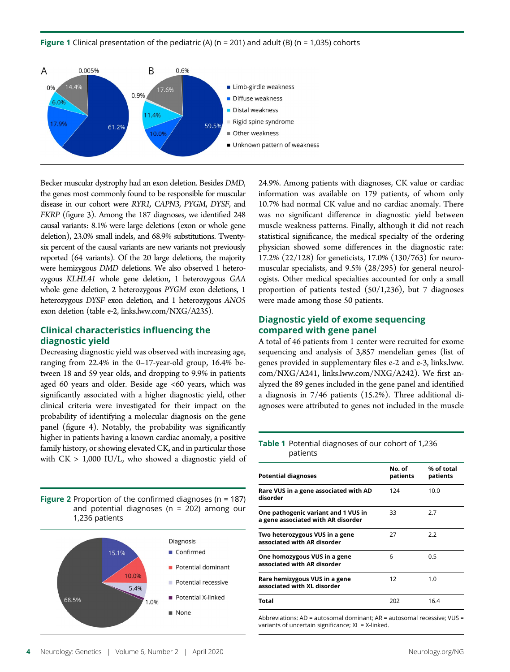Figure 1 Clinical presentation of the pediatric (A) ( $n = 201$ ) and adult (B) ( $n = 1,035$ ) cohorts



Becker muscular dystrophy had an exon deletion. Besides DMD, the genes most commonly found to be responsible for muscular disease in our cohort were RYR1, CAPN3, PYGM, DYSF, and FKRP (figure 3). Among the 187 diagnoses, we identified 248 causal variants: 8.1% were large deletions (exon or whole gene deletion), 23.0% small indels, and 68.9% substitutions. Twentysix percent of the causal variants are new variants not previously reported (64 variants). Of the 20 large deletions, the majority were hemizygous DMD deletions. We also observed 1 heterozygous KLHL41 whole gene deletion, 1 heterozygous GAA whole gene deletion, 2 heterozygous PYGM exon deletions, 1 heterozygous DYSF exon deletion, and 1 heterozygous ANO5 exon deletion (table e-2, [links.lww.com/NXG/A235](http://links.lww.com/NXG/A235.)).

#### Clinical characteristics influencing the diagnostic yield

Decreasing diagnostic yield was observed with increasing age, ranging from 22.4% in the 0–17-year-old group, 16.4% between 18 and 59 year olds, and dropping to 9.9% in patients aged 60 years and older. Beside age <60 years, which was significantly associated with a higher diagnostic yield, other clinical criteria were investigated for their impact on the probability of identifying a molecular diagnosis on the gene panel (figure 4). Notably, the probability was significantly higher in patients having a known cardiac anomaly, a positive family history, or showing elevated CK, and in particular those with  $CK > 1,000 \text{ IU/L}$ , who showed a diagnostic yield of

Figure 2 Proportion of the confirmed diagnoses ( $n = 187$ ) and potential diagnoses ( $n = 202$ ) among our 1,236 patients



24.9%. Among patients with diagnoses, CK value or cardiac information was available on 179 patients, of whom only 10.7% had normal CK value and no cardiac anomaly. There was no significant difference in diagnostic yield between muscle weakness patterns. Finally, although it did not reach statistical significance, the medical specialty of the ordering physician showed some differences in the diagnostic rate: 17.2% (22/128) for geneticists, 17.0% (130/763) for neuromuscular specialists, and 9.5% (28/295) for general neurologists. Other medical specialties accounted for only a small proportion of patients tested (50/1,236), but 7 diagnoses were made among those 50 patients.

#### Diagnostic yield of exome sequencing compared with gene panel

A total of 46 patients from 1 center were recruited for exome sequencing and analysis of 3,857 mendelian genes (list of genes provided in supplementary files e-2 and e-3, [links.lww.](http://links.lww.com/NXG/A241) [com/NXG/A241,](http://links.lww.com/NXG/A241) [links.lww.com/NXG/A242](http://links.lww.com/NXG/A242)). We first analyzed the 89 genes included in the gene panel and identified a diagnosis in 7/46 patients (15.2%). Three additional diagnoses were attributed to genes not included in the muscle

#### Table 1 Potential diagnoses of our cohort of 1,236 patients

| Potential diagnoses                                                       | No. of<br>patients | % of total<br>patients |
|---------------------------------------------------------------------------|--------------------|------------------------|
| Rare VUS in a gene associated with AD<br>disorder                         | 124                | 10.0                   |
| One pathogenic variant and 1 VUS in<br>a gene associated with AR disorder | 33                 | 2.7                    |
| Two heterozygous VUS in a gene<br>associated with AR disorder             | 27                 | 2.2                    |
| One homozygous VUS in a gene<br>associated with AR disorder               | 6                  | 0.5                    |
| Rare hemizygous VUS in a gene<br>associated with XL disorder              | 12                 | 1.0                    |
| Total                                                                     | 202                | 16.4                   |

Abbreviations: AD = autosomal dominant; AR = autosomal recessive; VUS = variants of uncertain significance; XL = X-linked.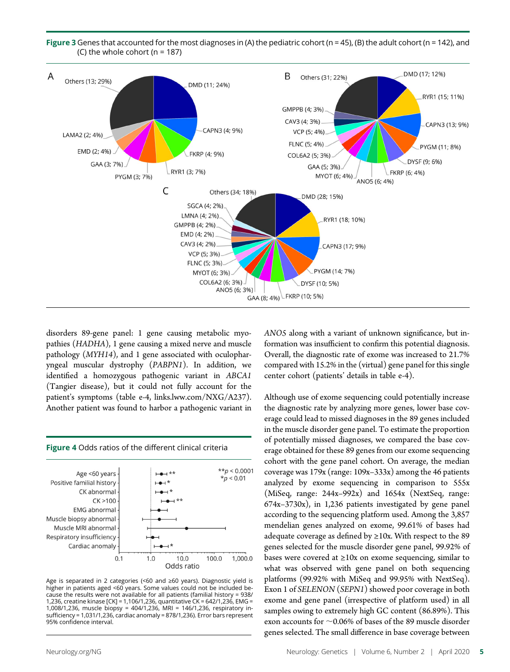



disorders 89-gene panel: 1 gene causing metabolic myopathies (HADHA), 1 gene causing a mixed nerve and muscle pathology (MYH14), and 1 gene associated with oculopharyngeal muscular dystrophy (PABPN1). In addition, we identified a homozygous pathogenic variant in ABCA1 (Tangier disease), but it could not fully account for the patient's symptoms (table e-4, [links.lww.com/NXG/A237\)](http://links.lww.com/NXG/A237). Another patient was found to harbor a pathogenic variant in



Age is separated in 2 categories (<60 and ≥60 years). Diagnostic yield is higher in patients aged <60 years. Some values could not be included because the results were not available for all patients (familial history = 938/ 1,236, creatine kinase [CK] = 1,106/1,236, quantitative CK = 642/1,236, EMG = 1,008/1,236, muscle biopsy = 404/1,236, MRI = 146/1,236, respiratory insufficiency = 1,031/1,236, cardiac anomaly = 878/1,236). Error bars represent 95% confidence interval.

ANO5 along with a variant of unknown significance, but information was insufficient to confirm this potential diagnosis. Overall, the diagnostic rate of exome was increased to 21.7% compared with 15.2% in the (virtual) gene panel for this single center cohort (patients' details in table e-4).

Although use of exome sequencing could potentially increase the diagnostic rate by analyzing more genes, lower base coverage could lead to missed diagnoses in the 89 genes included in the muscle disorder gene panel. To estimate the proportion of potentially missed diagnoses, we compared the base coverage obtained for these 89 genes from our exome sequencing cohort with the gene panel cohort. On average, the median coverage was 179x (range: 109x–333x) among the 46 patients analyzed by exome sequencing in comparison to 555x (MiSeq, range: 244x–992x) and 1654x (NextSeq, range: 674x–3730x), in 1,236 patients investigated by gene panel according to the sequencing platform used. Among the 3,857 mendelian genes analyzed on exome, 99.61% of bases had adequate coverage as defined by  $\geq 10x$ . With respect to the 89 genes selected for the muscle disorder gene panel, 99.92% of bases were covered at  $\geq 10x$  on exome sequencing, similar to what was observed with gene panel on both sequencing platforms (99.92% with MiSeq and 99.95% with NextSeq). Exon 1 of SELENON (SEPN1) showed poor coverage in both exome and gene panel (irrespective of platform used) in all samples owing to extremely high GC content (86.89%). This exon accounts for  $\sim$  0.06% of bases of the 89 muscle disorder genes selected. The small difference in base coverage between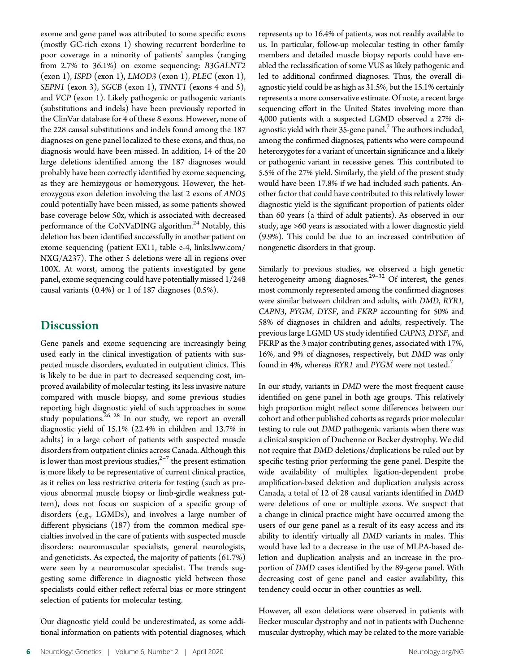exome and gene panel was attributed to some specific exons (mostly GC-rich exons 1) showing recurrent borderline to poor coverage in a minority of patients' samples (ranging from 2.7% to 36.1%) on exome sequencing: B3GALNT2 (exon 1), ISPD (exon 1), LMOD3 (exon 1), PLEC (exon 1), SEPN1 (exon 3), SGCB (exon 1), TNNT1 (exons 4 and 5), and VCP (exon 1). Likely pathogenic or pathogenic variants (substitutions and indels) have been previously reported in the ClinVar database for 4 of these 8 exons. However, none of the 228 causal substitutions and indels found among the 187 diagnoses on gene panel localized to these exons, and thus, no diagnosis would have been missed. In addition, 14 of the 20 large deletions identified among the 187 diagnoses would probably have been correctly identified by exome sequencing, as they are hemizygous or homozygous. However, the heterozygous exon deletion involving the last 2 exons of ANO5 could potentially have been missed, as some patients showed base coverage below 50x, which is associated with decreased performance of the CoNVaDING algorithm.<sup>24</sup> Notably, this deletion has been identified successfully in another patient on exome sequencing (patient EX11, table e-4, [links.lww.com/](http://links.lww.com/NXG/A237) [NXG/A237](http://links.lww.com/NXG/A237)). The other 5 deletions were all in regions over 100X. At worst, among the patients investigated by gene panel, exome sequencing could have potentially missed 1/248 causal variants (0.4%) or 1 of 187 diagnoses (0.5%).

### **Discussion**

Gene panels and exome sequencing are increasingly being used early in the clinical investigation of patients with suspected muscle disorders, evaluated in outpatient clinics. This is likely to be due in part to decreased sequencing cost, improved availability of molecular testing, its less invasive nature compared with muscle biopsy, and some previous studies reporting high diagnostic yield of such approaches in some study populations.<sup>26-28</sup> In our study, we report an overall diagnostic yield of 15.1% (22.4% in children and 13.7% in adults) in a large cohort of patients with suspected muscle disorders from outpatient clinics across Canada. Although this is lower than most previous studies, $2^{-7}$  the present estimation is more likely to be representative of current clinical practice, as it relies on less restrictive criteria for testing (such as previous abnormal muscle biopsy or limb-girdle weakness pattern), does not focus on suspicion of a specific group of disorders (e.g., LGMDs), and involves a large number of different physicians (187) from the common medical specialties involved in the care of patients with suspected muscle disorders: neuromuscular specialists, general neurologists, and geneticists. As expected, the majority of patients (61.7%) were seen by a neuromuscular specialist. The trends suggesting some difference in diagnostic yield between those specialists could either reflect referral bias or more stringent selection of patients for molecular testing.

Our diagnostic yield could be underestimated, as some additional information on patients with potential diagnoses, which represents up to 16.4% of patients, was not readily available to us. In particular, follow-up molecular testing in other family members and detailed muscle biopsy reports could have enabled the reclassification of some VUS as likely pathogenic and led to additional confirmed diagnoses. Thus, the overall diagnostic yield could be as high as 31.5%, but the 15.1% certainly represents a more conservative estimate. Of note, a recent large sequencing effort in the United States involving more than 4,000 patients with a suspected LGMD observed a 27% diagnostic yield with their 35-gene panel.<sup>7</sup> The authors included, among the confirmed diagnoses, patients who were compound heterozygotes for a variant of uncertain significance and a likely or pathogenic variant in recessive genes. This contributed to 5.5% of the 27% yield. Similarly, the yield of the present study would have been 17.8% if we had included such patients. Another factor that could have contributed to this relatively lower diagnostic yield is the significant proportion of patients older than 60 years (a third of adult patients). As observed in our study, age >60 years is associated with a lower diagnostic yield (9.9%). This could be due to an increased contribution of nongenetic disorders in that group.

Similarly to previous studies, we observed a high genetic heterogeneity among diagnoses.<sup>29–32</sup> Of interest, the genes most commonly represented among the confirmed diagnoses were similar between children and adults, with DMD, RYR1, CAPN3, PYGM, DYSF, and FKRP accounting for 50% and 58% of diagnoses in children and adults, respectively. The previous large LGMD US study identified CAPN3, DYSF, and FKRP as the 3 major contributing genes, associated with 17%, 16%, and 9% of diagnoses, respectively, but DMD was only found in 4%, whereas RYR1 and PYGM were not tested.<sup>7</sup>

In our study, variants in DMD were the most frequent cause identified on gene panel in both age groups. This relatively high proportion might reflect some differences between our cohort and other published cohorts as regards prior molecular testing to rule out DMD pathogenic variants when there was a clinical suspicion of Duchenne or Becker dystrophy. We did not require that DMD deletions/duplications be ruled out by specific testing prior performing the gene panel. Despite the wide availability of multiplex ligation-dependent probe amplification-based deletion and duplication analysis across Canada, a total of 12 of 28 causal variants identified in DMD were deletions of one or multiple exons. We suspect that a change in clinical practice might have occurred among the users of our gene panel as a result of its easy access and its ability to identify virtually all DMD variants in males. This would have led to a decrease in the use of MLPA-based deletion and duplication analysis and an increase in the proportion of DMD cases identified by the 89-gene panel. With decreasing cost of gene panel and easier availability, this tendency could occur in other countries as well.

However, all exon deletions were observed in patients with Becker muscular dystrophy and not in patients with Duchenne muscular dystrophy, which may be related to the more variable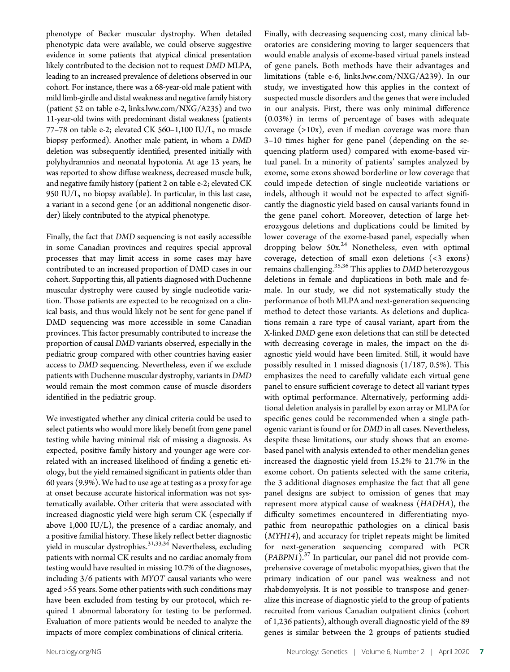phenotype of Becker muscular dystrophy. When detailed phenotypic data were available, we could observe suggestive evidence in some patients that atypical clinical presentation likely contributed to the decision not to request DMD MLPA, leading to an increased prevalence of deletions observed in our cohort. For instance, there was a 68-year-old male patient with mild limb-girdle and distal weakness and negative family history (patient 52 on table e-2, [links.lww.com/NXG/A235\)](http://links.lww.com/NXG/A235) and two 11-year-old twins with predominant distal weakness (patients 77–78 on table e-2; elevated CK 560–1,100 IU/L, no muscle biopsy performed). Another male patient, in whom a DMD deletion was subsequently identified, presented initially with polyhydramnios and neonatal hypotonia. At age 13 years, he was reported to show diffuse weakness, decreased muscle bulk, and negative family history (patient 2 on table e-2; elevated CK 950 IU/L, no biopsy available). In particular, in this last case, a variant in a second gene (or an additional nongenetic disorder) likely contributed to the atypical phenotype.

Finally, the fact that DMD sequencing is not easily accessible in some Canadian provinces and requires special approval processes that may limit access in some cases may have contributed to an increased proportion of DMD cases in our cohort. Supporting this, all patients diagnosed with Duchenne muscular dystrophy were caused by single nucleotide variation. Those patients are expected to be recognized on a clinical basis, and thus would likely not be sent for gene panel if DMD sequencing was more accessible in some Canadian provinces. This factor presumably contributed to increase the proportion of causal DMD variants observed, especially in the pediatric group compared with other countries having easier access to DMD sequencing. Nevertheless, even if we exclude patients with Duchenne muscular dystrophy, variants in DMD would remain the most common cause of muscle disorders identified in the pediatric group.

We investigated whether any clinical criteria could be used to select patients who would more likely benefit from gene panel testing while having minimal risk of missing a diagnosis. As expected, positive family history and younger age were correlated with an increased likelihood of finding a genetic etiology, but the yield remained significant in patients older than 60 years (9.9%). We had to use age at testing as a proxy for age at onset because accurate historical information was not systematically available. Other criteria that were associated with increased diagnostic yield were high serum CK (especially if above 1,000 IU/L), the presence of a cardiac anomaly, and a positive familial history. These likely reflect better diagnostic yield in muscular dystrophies.<sup>31,33,34</sup> Nevertheless, excluding patients with normal CK results and no cardiac anomaly from testing would have resulted in missing 10.7% of the diagnoses, including 3/6 patients with MYOT causal variants who were aged >55 years. Some other patients with such conditions may have been excluded from testing by our protocol, which required 1 abnormal laboratory for testing to be performed. Evaluation of more patients would be needed to analyze the impacts of more complex combinations of clinical criteria.

Finally, with decreasing sequencing cost, many clinical laboratories are considering moving to larger sequencers that would enable analysis of exome-based virtual panels instead of gene panels. Both methods have their advantages and limitations (table e-6, [links.lww.com/NXG/A239](http://links.lww.com/NXG/A239)). In our study, we investigated how this applies in the context of suspected muscle disorders and the genes that were included in our analysis. First, there was only minimal difference (0.03%) in terms of percentage of bases with adequate coverage  $(>10x)$ , even if median coverage was more than 3–10 times higher for gene panel (depending on the sequencing platform used) compared with exome-based virtual panel. In a minority of patients' samples analyzed by exome, some exons showed borderline or low coverage that could impede detection of single nucleotide variations or indels, although it would not be expected to affect significantly the diagnostic yield based on causal variants found in the gene panel cohort. Moreover, detection of large heterozygous deletions and duplications could be limited by lower coverage of the exome-based panel, especially when dropping below  $50x^{24}$  Nonetheless, even with optimal coverage, detection of small exon deletions (<3 exons) remains challenging.35,36 This applies to DMD heterozygous deletions in female and duplications in both male and female. In our study, we did not systematically study the performance of both MLPA and next-generation sequencing method to detect those variants. As deletions and duplications remain a rare type of causal variant, apart from the X-linked DMD gene exon deletions that can still be detected with decreasing coverage in males, the impact on the diagnostic yield would have been limited. Still, it would have possibly resulted in 1 missed diagnosis (1/187, 0.5%). This emphasizes the need to carefully validate each virtual gene panel to ensure sufficient coverage to detect all variant types with optimal performance. Alternatively, performing additional deletion analysis in parallel by exon array or MLPA for specific genes could be recommended when a single pathogenic variant is found or for DMD in all cases. Nevertheless, despite these limitations, our study shows that an exomebased panel with analysis extended to other mendelian genes increased the diagnostic yield from 15.2% to 21.7% in the exome cohort. On patients selected with the same criteria, the 3 additional diagnoses emphasize the fact that all gene panel designs are subject to omission of genes that may represent more atypical cause of weakness (HADHA), the difficulty sometimes encountered in differentiating myopathic from neuropathic pathologies on a clinical basis (MYH14), and accuracy for triplet repeats might be limited for next-generation sequencing compared with PCR  $(PABPNI).$ <sup>37</sup> In particular, our panel did not provide comprehensive coverage of metabolic myopathies, given that the primary indication of our panel was weakness and not rhabdomyolysis. It is not possible to transpose and generalize this increase of diagnostic yield to the group of patients recruited from various Canadian outpatient clinics (cohort of 1,236 patients), although overall diagnostic yield of the 89 genes is similar between the 2 groups of patients studied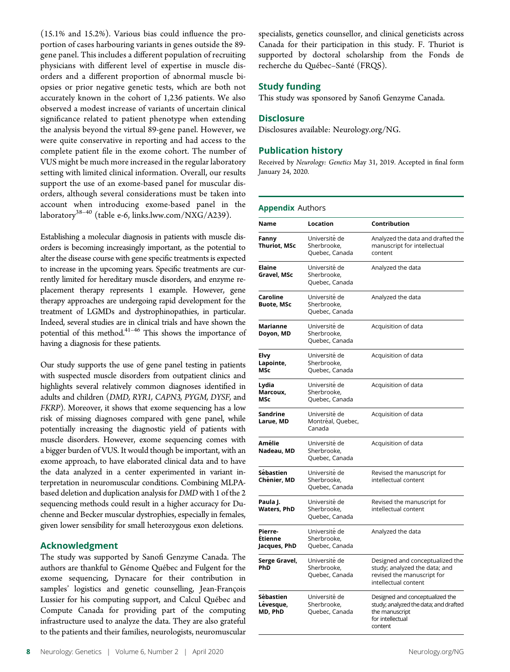(15.1% and 15.2%). Various bias could influence the proportion of cases harbouring variants in genes outside the 89 gene panel. This includes a different population of recruiting physicians with different level of expertise in muscle disorders and a different proportion of abnormal muscle biopsies or prior negative genetic tests, which are both not accurately known in the cohort of 1,236 patients. We also observed a modest increase of variants of uncertain clinical significance related to patient phenotype when extending the analysis beyond the virtual 89-gene panel. However, we were quite conservative in reporting and had access to the complete patient file in the exome cohort. The number of VUS might be much more increased in the regular laboratory setting with limited clinical information. Overall, our results support the use of an exome-based panel for muscular disorders, although several considerations must be taken into account when introducing exome-based panel in the laboratory $^{38-40}$  (table e-6, [links.lww.com/NXG/A239](http://links.lww.com/NXG/A239)).

Establishing a molecular diagnosis in patients with muscle disorders is becoming increasingly important, as the potential to alter the disease course with gene specific treatments is expected to increase in the upcoming years. Specific treatments are currently limited for hereditary muscle disorders, and enzyme replacement therapy represents 1 example. However, gene therapy approaches are undergoing rapid development for the treatment of LGMDs and dystrophinopathies, in particular. Indeed, several studies are in clinical trials and have shown the potential of this method.<sup>41-46</sup> This shows the importance of having a diagnosis for these patients.

Our study supports the use of gene panel testing in patients with suspected muscle disorders from outpatient clinics and highlights several relatively common diagnoses identified in adults and children (DMD, RYR1, CAPN3, PYGM, DYSF, and FKRP). Moreover, it shows that exome sequencing has a low risk of missing diagnoses compared with gene panel, while potentially increasing the diagnostic yield of patients with muscle disorders. However, exome sequencing comes with a bigger burden of VUS. It would though be important, with an exome approach, to have elaborated clinical data and to have the data analyzed in a center experimented in variant interpretation in neuromuscular conditions. Combining MLPAbased deletion and duplication analysis for DMD with 1 of the 2 sequencing methods could result in a higher accuracy for Duchenne and Becker muscular dystrophies, especially in females, given lower sensibility for small heterozygous exon deletions.

#### Acknowledgment

The study was supported by Sanofi Genzyme Canada. The authors are thankful to Génome Québec and Fulgent for the exome sequencing, Dynacare for their contribution in samples' logistics and genetic counselling, Jean-François Lussier for his computing support, and Calcul Québec and Compute Canada for providing part of the computing infrastructure used to analyze the data. They are also grateful to the patients and their families, neurologists, neuromuscular specialists, genetics counsellor, and clinical geneticists across Canada for their participation in this study. F. Thuriot is supported by doctoral scholarship from the Fonds de recherche du Québec–Santé (FRQS).

#### Study funding

This study was sponsored by Sanofi Genzyme Canada.

#### **Disclosure**

Disclosures available: [Neurology.org/NG](https://ng.neurology.org/content/6/2/e408/tab-article-info).

#### Publication history

Received by Neurology: Genetics May 31, 2019. Accepted in final form January 24, 2020.

#### Appendix Authors

| Name                                      | Location                                       | Contribution                                                                                                              |  |
|-------------------------------------------|------------------------------------------------|---------------------------------------------------------------------------------------------------------------------------|--|
| Fanny<br><b>Thuriot, MSc</b>              | Université de<br>Sherbrooke,<br>Quebec, Canada | Analyzed the data and drafted the<br>manuscript for intellectual<br>content                                               |  |
| <b>Elaine</b><br>Gravel, MSc              | Université de<br>Sherbrooke,<br>Quebec, Canada | Analyzed the data                                                                                                         |  |
| Caroline<br><b>Buote, MSc</b>             | Université de<br>Sherbrooke,<br>Quebec, Canada | Analyzed the data                                                                                                         |  |
| Marianne<br>Doyon, MD                     | Université de<br>Sherbrooke,<br>Quebec, Canada | Acquisition of data                                                                                                       |  |
| Elvy<br>Lapointe,<br><b>MSc</b>           | Université de<br>Sherbrooke,<br>Quebec, Canada | Acquisition of data                                                                                                       |  |
| Lydia<br>Marcoux,<br>MSc                  | Université de<br>Sherbrooke,<br>Quebec, Canada | Acquisition of data                                                                                                       |  |
| Sandrine<br>Larue, MD                     | Université de<br>Montréal, Quebec,<br>Canada   | Acquisition of data                                                                                                       |  |
| Amélie<br>Nadeau, MD                      | Université de<br>Sherbrooke,<br>Quebec, Canada | Acquisition of data                                                                                                       |  |
| Sébastien<br>Chénier, MD                  | Université de<br>Sherbrooke,<br>Quebec, Canada | Revised the manuscript for<br>intellectual content                                                                        |  |
| Paula J.<br><b>Waters, PhD</b>            | Université de<br>Sherbrooke,<br>Quebec, Canada | Revised the manuscript for<br>intellectual content                                                                        |  |
| Pierre-<br><b>Etienne</b><br>Jacques, PhD | Université de<br>Sherbrooke,<br>Quebec, Canada | Analyzed the data                                                                                                         |  |
| Serge Gravel,<br>PhD                      | Université de<br>Sherbrooke,<br>Quebec, Canada | Designed and conceptualized the<br>study; analyzed the data; and<br>revised the manuscript for<br>intellectual content    |  |
| Sébastien<br>Lévesque,<br>MD, PhD         | Université de<br>Sherbrooke,<br>Quebec, Canada | Designed and conceptualized the<br>study; analyzed the data; and drafted<br>the manuscript<br>for intellectual<br>content |  |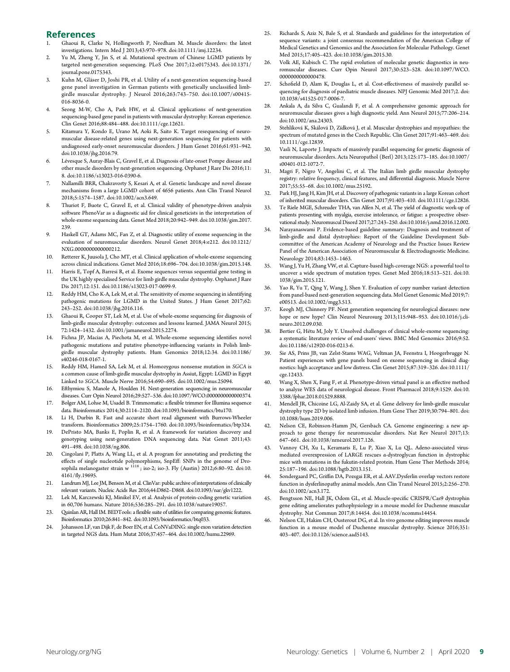#### References

- 1. Ghaoui R, Clarke N, Hollingworth P, Needham M. Muscle disorders: the latest investigations. Intern Med J 2013;43:970–978. [doi:10.1111/imj.12234](https://dx.doi.org/10.1111/imj.12234).
- 2. Yu M, Zheng Y, Jin S, et al. Mutational spectrum of Chinese LGMD patients by targeted next-generation sequencing. PLoS One 2017;12:e0175343. [doi:10.1371/](https://dx.doi.org/10.1371/journal.pone.0175343) [journal.pone.0175343.](https://dx.doi.org/10.1371/journal.pone.0175343)
- 3. Kuhn M, Gläser D, Joshi PR, et al. Utility of a next-generation sequencing-based gene panel investigation in German patients with genetically unclassified limbgirdle muscular dystrophy. J Neurol 2016;263:743–750. [doi:10.1007/s00415-](https://dx.doi.org/10.1007/s00415-016-8036-0) [016-8036-0](https://dx.doi.org/10.1007/s00415-016-8036-0).
- Seong M-W, Cho A, Park HW, et al. Clinical applications of next-generation sequencing-based gene panel in patients with muscular dystrophy: Korean experience. Clin Genet 2016;88:484–488. [doi:10.1111/cge.12621.](https://dx.doi.org/10.1111/cge.12621)
- Kitamura Y, Kondo E, Urano M, Aoki R, Saito K. Target resequencing of neuromuscular disease-related genes using next-generation sequencing for patients with undiagnosed early-onset neuromuscular disorders. J Hum Genet 2016;61:931–942. [doi:10.1038/jhg.2016.79.](https://dx.doi.org/10.1038/jhg.2016.79)
- 6. Lévesque S, Auray-Blais C, Gravel E, et al. Diagnosis of late-onset Pompe disease and other muscle disorders by next-generation sequencing. Orphanet J Rare Dis 2016;11: 8. [doi:10.1186/s13023-016-0390-6.](https://dx.doi.org/10.1186/s13023-016-0390-6)
- 7. Nallamilli BRR, Chakravorty S, Kesari A, et al. Genetic landscape and novel disease mechanisms from a large LGMD cohort of 4656 patients. Ann Clin Transl Neurol 2018;5:1574–1587. [doi:10.1002/acn3.649.](https://dx.doi.org/10.1002/acn3.649)
- Thuriot F, Buote C, Gravel E, et al. Clinical validity of phenotype-driven analysis software PhenoVar as a diagnostic aid for clinical geneticists in the interpretation of whole-exome sequencing data. Genet Med 2018;20:942–949. [doi:10.1038/gim.2017.](https://dx.doi.org/10.1038/gim.2017.239) [239](https://dx.doi.org/10.1038/gim.2017.239).
- 9. Haskell GT, Adams MC, Fan Z, et al. Diagnostic utility of exome sequencing in the evaluation of neuromuscular disorders. Neurol Genet 2018;4:e212. [doi:10.1212/](https://ng.neurology.org/content/4/1/e212/tab-article-info) [NXG.0000000000000212.](https://ng.neurology.org/content/4/1/e212/tab-article-info)
- 10. Retterer K, Juusola J, Cho MT, et al. Clinical application of whole-exome sequencing across clinical indications. Genet Med 2016;18:696–704. [doi:10.1038/gim.2015.148.](https://dx.doi.org/10.1038/gim.2015.148)
- 11. Harris E, Topf A, Barresi R, et al. Exome sequences versus sequential gene testing in the UK highly specialised Service for limb girdle muscular dystrophy. Orphanet J Rare Dis 2017;12:151. [doi:10.1186/s13023-017-0699-9.](https://dx.doi.org/10.1186/s13023-017-0699-9)
- 12. Reddy HM, Cho K-A, Lek M, et al. The sensitivity of exome sequencing in identifying pathogenic mutations for LGMD in the United States. J Hum Genet 2017;62: 243–252. [doi:10.1038/jhg.2016.116](https://dx.doi.org/10.1038/jhg.2016.116).
- 13. Ghaoui R, Cooper ST, Lek M, et al. Use of whole-exome sequencing for diagnosis of limb-girdle muscular dystrophy: outcomes and lessons learned. JAMA Neurol 2015; 72:1424–1432. [doi:10.1001/jamaneurol.2015.2274.](https://dx.doi.org/10.1001/jamaneurol.2015.2274)
- 14. Fichna JP, Macias A, Piechota M, et al. Whole-exome sequencing identifies novel pathogenic mutations and putative phenotype-influencing variants in Polish limbgirdle muscular dystrophy patients. Hum Genomics 2018;12:34. [doi:10.1186/](https://dx.doi.org/10.1186/s40246-018-0167-1) [s40246-018-0167-1](https://dx.doi.org/10.1186/s40246-018-0167-1).
- 15. Reddy HM, Hamed SA, Lek M, et al. Homozygous nonsense mutation in SGCA is a common cause of limb-girdle muscular dystrophy in Assiut, Egypt: LGMD in Egypt Linked to SGCA. Muscle Nerve 2016;54:690–695. [doi:10.1002/mus.25094](https://dx.doi.org/10.1002/mus.25094).
- 16. Efthymiou S, Manole A, Houlden H. Next-generation sequencing in neuromuscular diseases. Curr Opin Neurol 2016;29:527–536. [doi:10.1097/WCO.0000000000000374.](https://dx.doi.org/10.1097/WCO.0000000000000374)
- 17. Bolger AM, Lohse M, Usadel B. Trimmomatic: a flexible trimmer for Illumina sequence data. Bioinformatics 2014;30:2114–2120. [doi:10.1093/bioinformatics/btu170](https://dx.doi.org/10.1093/bioinformatics/btu170).
- 18. Li H, Durbin R. Fast and accurate short read alignment with Burrows-Wheeler transform. Bioinformatics 2009;25:1754–1760. [doi:10.1093/bioinformatics/btp324.](https://dx.doi.org/10.1093/bioinformatics/btp324)
- 19. DePristo MA, Banks E, Poplin R, et al. A framework for variation discovery and genotyping using next-generation DNA sequencing data. Nat Genet 2011;43: 491–498. [doi:10.1038/ng.806.](https://dx.doi.org/10.1038/ng.806)
- 20. Cingolani P, Platts A, Wang LL, et al. A program for annotating and predicting the effects of single nucleotide polymorphisms, SnpEff: SNPs in the genome of Drosophila melanogaster strain w  $^{1118}$ ; iso-2; iso-3. Fly (Austin) 2012;6:80-92. [doi:10.](https://dx.doi.org/10.4161/fly.19695) 4161/fl[y.19695.](https://dx.doi.org/10.4161/fly.19695)
- 21. Landrum MJ, Lee JM, Benson M, et al. ClinVar: public archive of interpretations of clinically relevant variants. Nucleic Acids Res 2016;44:D862–D868. [doi:10.1093/nar/gkv1222.](https://dx.doi.org/10.1093/nar/gkv1222)
- 22. Lek M, Karczewski KJ, Minikel EV, et al. Analysis of protein-coding genetic variation in 60,706 humans. Nature 2016;536:285–291. [doi:10.1038/nature19057.](https://dx.doi.org/10.1038/nature19057)
- 23. Quinlan AR, Hall IM. BEDTools: a flexible suite of utilities for comparing genomic features. Bioinformatics 2010;26:841–842. [doi:10.1093/bioinformatics/btq033.](https://dx.doi.org/10.1093/bioinformatics/btq033)
- 24. Johansson LF, van Dijk F, de Boer EN, et al. CoNVaDING: single exon variation detection in targeted NGS data. Hum Mutat 2016;37:457–464. [doi:10.1002/humu.22969.](https://dx.doi.org/10.1002/humu.22969)
- 25. Richards S, Aziz N, Bale S, et al. Standards and guidelines for the interpretation of sequence variants: a joint consensus recommendation of the American College of Medical Genetics and Genomics and the Association for Molecular Pathology. Genet Med 2015;17:405–423. [doi:10.1038/gim.2015.30.](https://dx.doi.org/10.1038/gim.2015.30)
- 26. Volk AE, Kubisch C. The rapid evolution of molecular genetic diagnostics in neuromuscular diseases. Curr Opin Neurol 2017;30:523–528. [doi:10.1097/WCO.](https://dx.doi.org/10.1097/WCO.0000000000000478) [0000000000000478.](https://dx.doi.org/10.1097/WCO.0000000000000478)
- 27. Schofield D, Alam K, Douglas L, et al. Cost-effectiveness of massively parallel sequencing for diagnosis of paediatric muscle diseases. NPJ Genomic Med 2017;2. [doi:](https://dx.doi.org/10.1038/s41525-017-0006-7) [10.1038/s41525-017-0006-7.](https://dx.doi.org/10.1038/s41525-017-0006-7)
- 28. Ankala A, da Silva C, Gualandi F, et al. A comprehensive genomic approach for neuromuscular diseases gives a high diagnostic yield. Ann Neurol 2015;77:206–214. [doi:10.1002/ana.24303.](https://dx.doi.org/10.1002/ana.24303)
- 29. Stehlíková K, Skálová D, Zídková J, et al. Muscular dystrophies and myopathies: the spectrum of mutated genes in the Czech Republic. Clin Genet 2017;91:463–469. [doi:](https://dx.doi.org/10.1111/cge.12839) [10.1111/cge.12839](https://dx.doi.org/10.1111/cge.12839).
- 30. Vasli N, Laporte J. Impacts of massively parallel sequencing for genetic diagnosis of neuromuscular disorders. Acta Neuropathol (Berl) 2013;125:173–185. [doi:10.1007/](https://dx.doi.org/10.1007/s00401-012-1072-7) [s00401-012-1072-7](https://dx.doi.org/10.1007/s00401-012-1072-7).
- 31. Magri F, Nigro V, Angelini C, et al. The Italian limb girdle muscular dystrophy registry: relative frequency, clinical features, and differential diagnosis. Muscle Nerve 2017;55:55–68. [doi:10.1002/mus.25192.](https://dx.doi.org/10.1002/mus.25192)
- 32. Park HJ, Jang H, Kim JH, et al. Discovery of pathogenic variants in a large Korean cohort of inherited muscular disorders. Clin Genet 2017;91:403–410. [doi:10.1111/cge.12826.](https://dx.doi.org/10.1111/cge.12826)
- 33. Te Riele MGE, Schreuder THA, van Alfen N, et al. The yield of diagnostic work-up of patients presenting with myalgia, exercise intolerance, or fatigue: a prospective observational study. Neuromuscul Disord 2017;27:243–250. [doi:10.1016/j.nmd.2016.12.002.](https://dx.doi.org/10.1016/j.nmd.2016.12.002)
- 34. Narayanaswami P. Evidence-based guideline summary: Diagnosis and treatment of limb-girdle and distal dystrophies: Report of the Guideline Development Subcommittee of the American Academy of Neurology and the Practice Issues Review Panel of the American Association of Neuromuscular & Electrodiagnostic Medicine. Neurology 2014;83:1453–1463.
- 35. Wang J, Yu H, Zhang VW, et al. Capture-based high-coverage NGS: a powerful tool to uncover a wide spectrum of mutation types. Genet Med 2016;18:513–521. [doi:10.](https://dx.doi.org/10.1038/gim.2015.121) [1038/gim.2015.121](https://dx.doi.org/10.1038/gim.2015.121).
- 36. Yao R, Yu T, Qing Y, Wang J, Shen Y. Evaluation of copy number variant detection from panel-based next-generation sequencing data. Mol Genet Genomic Med 2019;7: e00513. [doi:10.1002/mgg3.513](https://dx.doi.org/10.1002/mgg3.513).
- 37. Keogh MJ, Chinnery PF. Next generation sequencing for neurological diseases: new hope or new hype? Clin Neurol Neurosurg 2013;115:948–953. [doi:10.1016/j.cli](https://dx.doi.org/10.1016/j.clineuro.2012.09.030)[neuro.2012.09.030.](https://dx.doi.org/10.1016/j.clineuro.2012.09.030)
- Bertier G, Hétu M, Joly Y. Unsolved challenges of clinical whole-exome sequencing: a systematic literature review of end-users' views. BMC Med Genomics 2016;9:52. [doi:10.1186/s12920-016-0213-6.](https://dx.doi.org/10.1186/s12920-016-0213-6)
- 39. Sie AS, Prins JB, van Zelst-Stams WAG, Veltman JA, Feenstra I, Hoogerbrugge N. Patient experiences with gene panels based on exome sequencing in clinical diagnostics: high acceptance and low distress. Clin Genet 2015;87:319–326. [doi:10.1111/](https://dx.doi.org/10.1111/cge.12433) [cge.12433.](https://dx.doi.org/10.1111/cge.12433)
- 40. Wang X, Shen X, Fang F, et al. Phenotype-driven virtual panel is an effective method to analyze WES data of neurological disease. Front Pharmacol 2018;9:1529. [doi:10.](https://dx.doi.org/10.3388/fphar.2018.01529.8888) [3388/fphar.2018.01529.8888](https://dx.doi.org/10.3388/fphar.2018.01529.8888).
- 41. Mendell JR, Chicoine LG, Al-Zaidy SA, et al. Gene delivery for limb-girdle muscular dystrophy type 2D by isolated limb infusion. Hum Gene Ther 2019;30:794–801. [doi:](https://dx.doi.org/10.1088/hum.2019.006) [10.1088/hum.2019.006](https://dx.doi.org/10.1088/hum.2019.006).
- 42. Nelson CE, Robinson-Hamm JN, Gersbach CA. Genome engineering: a new approach to gene therapy for neuromuscular disorders. Nat Rev Neurol 2017;13: 647–661. [doi:10.1038/nrneurol.2017.126.](https://dx.doi.org/10.1038/nrneurol.2017.126)
- 43. Vannoy CH, Xu L, Keramaris E, Lu P, Xiao X, Lu QL. Adeno-associated virusmediated overexpression of LARGE rescues α-dystroglycan function in dystrophic mice with mutations in the fukutin-related protein. Hum Gene Ther Methods 2014; 25:187–196. [doi:10.1088/hgtb.2013.151](https://dx.doi.org/10.1088/hgtb.2013.151).
- 44. Sondergaard PC, Griffin DA, Pozsgai ER, et al. AAV.Dysferlin overlap vectors restore function in dysferlinopathy animal models. Ann Clin Transl Neurol 2015;2:256–270. [doi:10.1002/acn3.172](https://dx.doi.org/10.1002/acn3.172).
- 45. Bengtsson NE, Hall JK, Odom GL, et al. Muscle-specific CRISPR/Cas9 dystrophin gene editing ameliorates pathophysiology in a mouse model for Duchenne muscular dystrophy. Nat Commun 2017;8:14454. [doi:10.1038/ncomms14454](https://dx.doi.org/10.1038/ncomms14454).
- 46. Nelson CE, Hakim CH, Ousterout DG, et al. In vivo genome editing improves muscle function in a mouse model of Duchenne muscular dystrophy. Science 2016;351: 403–407. [doi:10.1126/science.aad5143.](https://dx.doi.org/10.1126/science.aad5143)